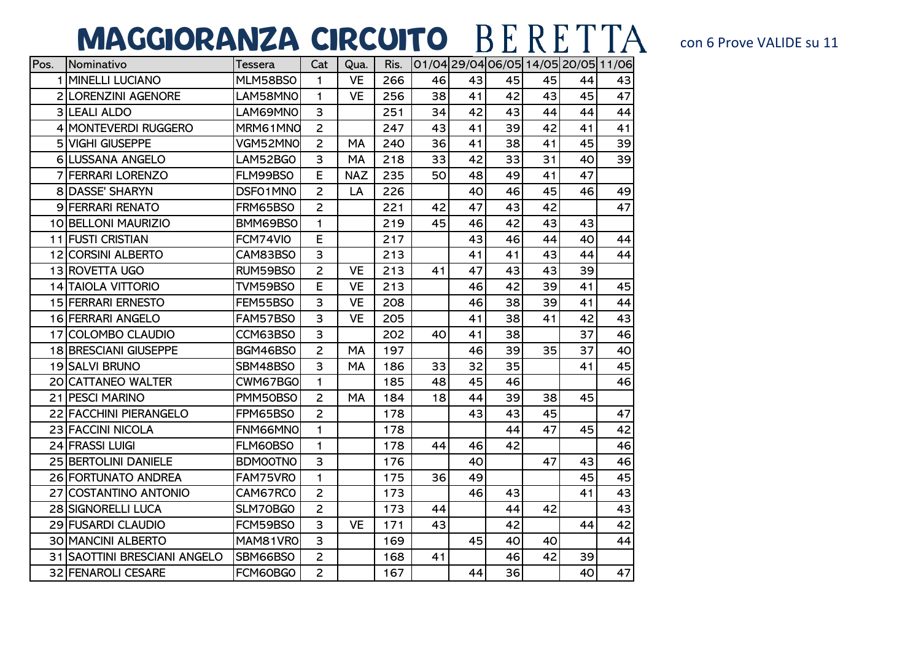## MAGGIORANZA CIRCUITO BERETTA CON 6 Prove VALIDE Su 11

| Pos. | <b>Nominativo</b>            | Tessera         | Cat            | Qua.       |       | Ris. 01/04 29/04 06/05 14/05 20/05 11/06 |    |    |    |    |    |
|------|------------------------------|-----------------|----------------|------------|-------|------------------------------------------|----|----|----|----|----|
|      | 1 MINELLI LUCIANO            | MLM58BS0        | 1.             | <b>VE</b>  | 266   | 46                                       | 43 | 45 | 45 | 44 | 43 |
|      | 2 LORENZINI AGENORE          | LAM58MNO        | 1.             | <b>VE</b>  | 256   | 38                                       | 41 | 42 | 43 | 45 | 47 |
|      | 3 LEALI ALDO                 | LAM69MNO        | 3              |            | 251   | 34                                       | 42 | 43 | 44 | 44 | 44 |
|      | 4 MONTEVERDI RUGGERO         | MRM61MNO        | $\overline{2}$ |            | 247   | 43                                       | 41 | 39 | 42 | 41 | 41 |
|      | <b>5 VIGHI GIUSEPPE</b>      | VGM52MNO        | $\overline{2}$ | MA         | 240   | 36                                       | 41 | 38 | 41 | 45 | 39 |
|      | 6 LUSSANA ANGELO             | LAM52BGO        | 3              | MA         | 218   | 33                                       | 42 | 33 | 31 | 40 | 39 |
|      | 7 FERRARI LORENZO            | FLM99BS0        | E              | <b>NAZ</b> | 235   | 50                                       | 48 | 49 | 41 | 47 |    |
|      | 8 DASSE' SHARYN              | DSF01MN0        | $\overline{2}$ | LA         | 226   |                                          | 40 | 46 | 45 | 46 | 49 |
|      | 9 FERRARI RENATO             | FRM65BS0        | $\overline{2}$ |            | 221   | 42                                       | 47 | 43 | 42 |    | 47 |
|      | 10 BELLONI MAURIZIO          | BMM69BS0        | 1              |            | 219   | 45                                       | 46 | 42 | 43 | 43 |    |
|      | 11 FUSTI CRISTIAN            | FCM74VIO        | E              |            | 217   |                                          | 43 | 46 | 44 | 40 | 44 |
|      | 12 CORSINI ALBERTO           | CAM83BSO        | 3              |            | 213   |                                          | 41 | 41 | 43 | 44 | 44 |
|      | 13 ROVETTA UGO               | RUM59BSO        | $\overline{c}$ | <b>VE</b>  | 213   | 41                                       | 47 | 43 | 43 | 39 |    |
|      | <b>14 TAIOLA VITTORIO</b>    | TVM59BS0        | E              | <b>VE</b>  | 213   |                                          | 46 | 42 | 39 | 41 | 45 |
|      | <b>15 FERRARI ERNESTO</b>    | FEM55BS0        | 3              | <b>VE</b>  | 208   |                                          | 46 | 38 | 39 | 41 | 44 |
|      | 16 FERRARI ANGELO            | FAM57BS0        | 3              | <b>VE</b>  | 205   |                                          | 41 | 38 | 41 | 42 | 43 |
|      | 17 COLOMBO CLAUDIO           | CCM63BS0        | 3              |            | 202   | 40                                       | 41 | 38 |    | 37 | 46 |
|      | <b>18 BRESCIANI GIUSEPPE</b> | BGM46BSO        | $\overline{2}$ | MA         | 197   |                                          | 46 | 39 | 35 | 37 | 40 |
|      | 19 SALVI BRUNO               | SBM48BS0        | 3              | MA         | 186   | 33                                       | 32 | 35 |    | 41 | 45 |
|      | 20 CATTANEO WALTER           | CWM67BGO        | 1              |            | 185   | 48                                       | 45 | 46 |    |    | 46 |
|      | 21 PESCI MARINO              | PMM50BS0        | $\overline{2}$ | MA         | 184   | 18                                       | 44 | 39 | 38 | 45 |    |
|      | 22 FACCHINI PIERANGELO       | FPM65BS0        | $\overline{2}$ |            | 178   |                                          | 43 | 43 | 45 |    | 47 |
|      | 23 FACCINI NICOLA            | FNM66MNO        | 1              |            | 178   |                                          |    | 44 | 47 | 45 | 42 |
|      | 24 FRASSI LUIGI              | FLM60BS0        | 1              |            | 178   | 44                                       | 46 | 42 |    |    | 46 |
|      | 25 BERTOLINI DANIELE         | <b>BDMOOTNO</b> | 3              |            | 176   |                                          | 40 |    | 47 | 43 | 46 |
|      | 26 FORTUNATO ANDREA          | FAM75VRO        | 1              |            | 175   | 36                                       | 49 |    |    | 45 | 45 |
|      | 27 COSTANTINO ANTONIO        | CAM67RCO        | $\overline{2}$ |            | 173   |                                          | 46 | 43 |    | 41 | 43 |
|      | <b>28 SIGNORELLI LUCA</b>    | SLM70BGO        | $\overline{2}$ |            | 173   | 44                                       |    | 44 | 42 |    | 43 |
|      | 29 FUSARDI CLAUDIO           | FCM59BS0        | 3              | <b>VE</b>  | $171$ | 43                                       |    | 42 |    | 44 | 42 |
|      | <b>30 MANCINI ALBERTO</b>    | MAM81VRO        | 3              |            | 169   |                                          | 45 | 40 | 40 |    | 44 |
|      | 31 SAOTTINI BRESCIANI ANGELO | SBM66BSO        | $\overline{2}$ |            | 168   | 41                                       |    | 46 | 42 | 39 |    |
|      | 32 FENAROLI CESARE           | FCM60BG0        | $\overline{2}$ |            | 167   |                                          | 44 | 36 |    | 40 | 47 |
|      |                              |                 |                |            |       |                                          |    |    |    |    |    |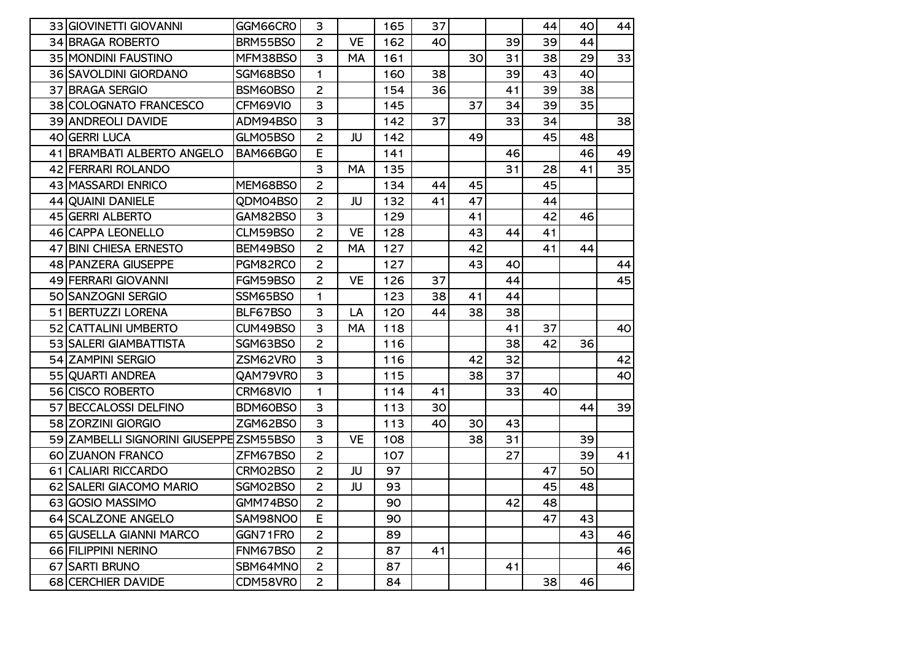| 33 GIOVINETTI GIOVANNI                  | GGM66CRO | 3              |           | 165 | 37 |    |    | 44  | 40 | 44 |
|-----------------------------------------|----------|----------------|-----------|-----|----|----|----|-----|----|----|
| 34 BRAGA ROBERTO                        | BRM55BS0 | $\overline{2}$ | <b>VE</b> | 162 | 40 |    | 39 | 39  | 44 |    |
| 35 MONDINI FAUSTINO                     | MFM38BS0 | 3              | MA        | 161 |    | 30 | 31 | 38  | 29 | 33 |
| 36 SAVOLDINI GIORDANO                   | SGM68BS0 | $\mathbf{1}$   |           | 160 | 38 |    | 39 | 43  | 40 |    |
| 37 BRAGA SERGIO                         | BSM60BS0 | $\overline{2}$ |           | 154 | 36 |    | 41 | 39  | 38 |    |
| 38 COLOGNATO FRANCESCO                  | CFM69VIO | 3              |           | 145 |    | 37 | 34 | 39  | 35 |    |
| <b>39 ANDREOLI DAVIDE</b>               | ADM94BS0 | 3              |           | 142 | 37 |    | 33 | 34  |    | 38 |
| 40 GERRI LUCA                           | GLM05BS0 | $\overline{2}$ | JU        | 142 |    | 49 |    | 45  | 48 |    |
| 41 BRAMBATI ALBERTO ANGELO              | BAM66BGO | E              |           | 141 |    |    | 46 |     | 46 | 49 |
| 42 FERRARI ROLANDO                      |          | 3              | MA        | 135 |    |    | 31 | 28  | 41 | 35 |
| 43 MASSARDI ENRICO                      | MEM68BS0 | $\overline{2}$ |           | 134 | 44 | 45 |    | 45  |    |    |
| 44 QUAINI DANIELE                       | QDM04BS0 | $\overline{2}$ | JU        | 132 | 41 | 47 |    | 44  |    |    |
| 45 GERRI ALBERTO                        | GAM82BS0 | 3              |           | 129 |    | 41 |    | 42  | 46 |    |
| 46 CAPPA LEONELLO                       | CLM59BS0 | $\overline{2}$ | <b>VE</b> | 128 |    | 43 | 44 | 41  |    |    |
| 47 BINI CHIESA ERNESTO                  | BEM49BS0 | $\overline{c}$ | MA        | 127 |    | 42 |    | 41  | 44 |    |
| 48 PANZERA GIUSEPPE                     | PGM82RCO | $\overline{2}$ |           | 127 |    | 43 | 40 |     |    | 44 |
| 49 FERRARI GIOVANNI                     | FGM59BS0 | $\overline{2}$ | <b>VE</b> | 126 | 37 |    | 44 |     |    | 45 |
| 50 SANZOGNI SERGIO                      | SSM65BS0 | 1              |           | 123 | 38 | 41 | 44 |     |    |    |
| 51 BERTUZZI LORENA                      | BLF67BS0 | 3              | LA        | 120 | 44 | 38 | 38 |     |    |    |
| 52 CATTALINI UMBERTO                    | CUM49BS0 | 3              | MA        | 118 |    |    | 41 | 37  |    | 40 |
| 53 SALERI GIAMBATTISTA                  | SGM63BS0 | $\overline{2}$ |           | 116 |    |    | 38 | 42  | 36 |    |
| 54 ZAMPINI SERGIO                       | ZSM62VRO | 3              |           | 116 |    | 42 | 32 |     |    | 42 |
| 55 QUARTI ANDREA                        | QAM79VRO | 3              |           | 115 |    | 38 | 37 |     |    | 40 |
| 56 CISCO ROBERTO                        | CRM68VIO | 1              |           | 114 | 41 |    | 33 | 40  |    |    |
| 57 BECCALOSSI DELFINO                   | BDM60BS0 | 3              |           | 113 | 30 |    |    |     | 44 | 39 |
| 58 ZORZINI GIORGIO                      | ZGM62BS0 | 3              |           | 113 | 40 | 30 | 43 |     |    |    |
| 59 ZAMBELLI SIGNORINI GIUSEPPE ZSM55BSO |          | 3              | <b>VE</b> | 108 |    | 38 | 31 |     | 39 |    |
| 60 ZUANON FRANCO                        | ZFM67BS0 | $\overline{2}$ |           | 107 |    |    | 27 |     | 39 | 41 |
| 61 CALIARI RICCARDO                     | CRM02BS0 | $\overline{2}$ | JU        | 97  |    |    |    | 47  | 50 |    |
| 62 SALERI GIACOMO MARIO                 | SGM02BS0 | $\overline{2}$ | JU        | 93  |    |    |    | 45  | 48 |    |
| 63 GOSIO MASSIMO                        | GMM74BSO | $\overline{2}$ |           | 90  |    |    | 42 | 48I |    |    |
| 64 SCALZONE ANGELO                      | SAM98NO0 | E              |           | 90  |    |    |    | 47  | 43 |    |
| 65 GUSELLA GIANNI MARCO                 | GGN71FRO | $\overline{2}$ |           | 89  |    |    |    |     | 43 | 46 |
| 66 FILIPPINI NERINO                     | FNM67BS0 | $\overline{c}$ |           | 87  | 41 |    |    |     |    | 46 |
| 67 SARTI BRUNO                          | SBM64MNO | $\overline{c}$ |           | 87  |    |    | 41 |     |    | 46 |
| 68 CERCHIER DAVIDE                      | CDM58VR0 | $\overline{c}$ |           | 84  |    |    |    | 38  | 46 |    |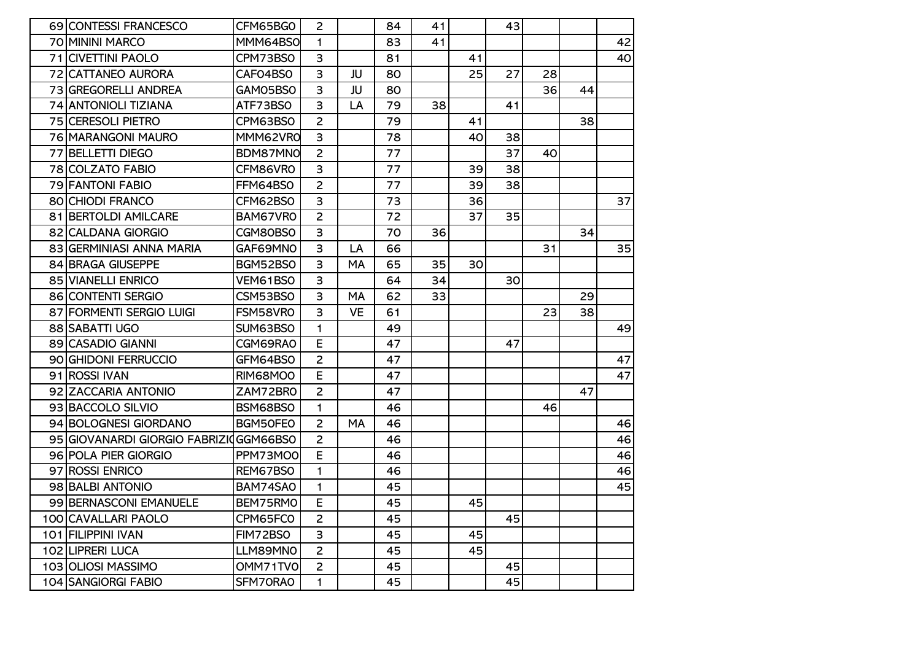| 69 CONTESSI FRANCESCO          | CFM65BGO | $\overline{2}$ |           | 84 | 41 |    | 43 |    |    |    |
|--------------------------------|----------|----------------|-----------|----|----|----|----|----|----|----|
| 70 MININI MARCO                | MMM64BS0 | 1              |           | 83 | 41 |    |    |    |    | 42 |
| 71 CIVETTINI PAOLO             | CPM73BS0 | 3              |           | 81 |    | 41 |    |    |    | 40 |
| 72 CATTANEO AURORA             | CAFO4BSO | 3              | JU        | 80 |    | 25 | 27 | 28 |    |    |
| 73 GREGORELLI ANDREA           | GAM05BS0 | 3              | JU        | 80 |    |    |    | 36 | 44 |    |
| 74 ANTONIOLI TIZIANA           | ATF73BSO | 3              | LA        | 79 | 38 |    | 41 |    |    |    |
| 75 CERESOLI PIETRO             | CPM63BS0 | $\overline{2}$ |           | 79 |    | 41 |    |    | 38 |    |
| 76 MARANGONI MAURO             | MMM62VR0 | 3              |           | 78 |    | 40 | 38 |    |    |    |
| 77 BELLETTI DIEGO              | BDM87MN0 | $\overline{2}$ |           | 77 |    |    | 37 | 40 |    |    |
| 78 COLZATO FABIO               | CFM86VR0 | 3              |           | 77 |    | 39 | 38 |    |    |    |
| 79 FANTONI FABIO               | FFM64BS0 | $\overline{c}$ |           | 77 |    | 39 | 38 |    |    |    |
| 80 CHIODI FRANCO               | CFM62BS0 | 3              |           | 73 |    | 36 |    |    |    | 37 |
| 81 BERTOLDI AMILCARE           | BAM67VRO | $\overline{2}$ |           | 72 |    | 37 | 35 |    |    |    |
| 82 CALDANA GIORGIO             | CGM80BS0 | 3              |           | 70 | 36 |    |    |    | 34 |    |
| 83 GERMINIASI ANNA MARIA       | GAF69MNO | 3              | LA        | 66 |    |    |    | 31 |    | 35 |
| 84 BRAGA GIUSEPPE              | BGM52BSO | 3              | MA        | 65 | 35 | 30 |    |    |    |    |
| <b>85 VIANELLI ENRICO</b>      | VEM61BSO | 3              |           | 64 | 34 |    | 30 |    |    |    |
| 86 CONTENTI SERGIO             | CSM53BS0 | 3              | MA        | 62 | 33 |    |    |    | 29 |    |
| 87 FORMENTI SERGIO LUIGI       | FSM58VR0 | 3              | <b>VE</b> | 61 |    |    |    | 23 | 38 |    |
| 88 SABATTI UGO                 | SUM63BS0 | 1              |           | 49 |    |    |    |    |    | 49 |
| 89 CASADIO GIANNI              | CGM69RA0 | E              |           | 47 |    |    | 47 |    |    |    |
| 90 GHIDONI FERRUCCIO           | GFM64BS0 | $\overline{c}$ |           | 47 |    |    |    |    |    | 47 |
| 91 ROSSI IVAN                  | RIM68MO0 | E              |           | 47 |    |    |    |    |    | 47 |
| 92 ZACCARIA ANTONIO            | ZAM72BRO | $\overline{2}$ |           | 47 |    |    |    |    | 47 |    |
| 93 BACCOLO SILVIO              | BSM68BS0 | $\mathbf{1}$   |           | 46 |    |    |    | 46 |    |    |
| 94 BOLOGNESI GIORDANO          | BGM50FE0 | $\overline{2}$ | MA        | 46 |    |    |    |    |    | 46 |
| 95 GIOVANARDI GIORGIO FABRIZIO | GGM66BSO | $\overline{2}$ |           | 46 |    |    |    |    |    | 46 |
| 96 POLA PIER GIORGIO           | PPM73MO0 | E              |           | 46 |    |    |    |    |    | 46 |
| 97 ROSSI ENRICO                | REM67BSO | 1              |           | 46 |    |    |    |    |    | 46 |
| 98 BALBI ANTONIO               | BAM74SAO | 1              |           | 45 |    |    |    |    |    | 45 |
| 99 BERNASCONI EMANUELE         | BEM75RMO | E              |           | 45 |    | 45 |    |    |    |    |
| 100 CAVALLARI PAOLO            | CPM65FC0 | $\overline{2}$ |           | 45 |    |    | 45 |    |    |    |
| 101 FILIPPINI IVAN             | FIM72BSO | 3              |           | 45 |    | 45 |    |    |    |    |
| 102 LIPRERI LUCA               | LLM89MNO | $\overline{c}$ |           | 45 |    | 45 |    |    |    |    |
|                                |          |                |           |    |    |    |    |    |    |    |
| 103 OLIOSI MASSIMO             | OMM71TVO | $\overline{c}$ |           | 45 |    |    | 45 |    |    |    |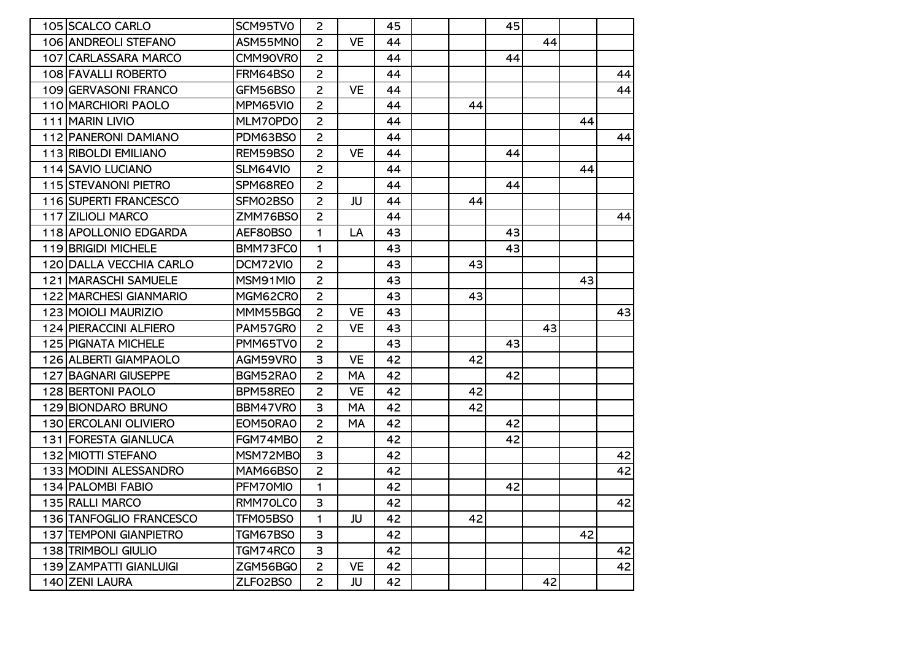| 105 SCALCO CARLO           | SCM95TVO | $\overline{2}$ |           | 45 |    | 45 |    |    |    |
|----------------------------|----------|----------------|-----------|----|----|----|----|----|----|
| 106 ANDREOLI STEFANO       | ASM55MNO | $\overline{2}$ | <b>VE</b> | 44 |    |    | 44 |    |    |
| 107 CARLASSARA MARCO       | CMM90VR0 | $\overline{2}$ |           | 44 |    | 44 |    |    |    |
| 108 FAVALLI ROBERTO        | FRM64BS0 | $\overline{2}$ |           | 44 |    |    |    |    | 44 |
| 109 GERVASONI FRANCO       | GFM56BS0 | $\overline{2}$ | <b>VE</b> | 44 |    |    |    |    | 44 |
| 110 MARCHIORI PAOLO        | MPM65VIO | $\overline{2}$ |           | 44 | 44 |    |    |    |    |
| 111 MARIN LIVIO            | MLM70PD0 | $\overline{2}$ |           | 44 |    |    |    | 44 |    |
| 112 PANERONI DAMIANO       | PDM63BS0 | $\overline{2}$ |           | 44 |    |    |    |    | 44 |
| 113 RIBOLDI EMILIANO       | REM59BS0 | $\overline{2}$ | <b>VE</b> | 44 |    | 44 |    |    |    |
| 114 SAVIO LUCIANO          | SLM64VIO | $\overline{2}$ |           | 44 |    |    |    | 44 |    |
| 115 STEVANONI PIETRO       | SPM68REO | $\overline{2}$ |           | 44 |    | 44 |    |    |    |
| 116 SUPERTI FRANCESCO      | SFM02BS0 | $\overline{2}$ | JU        | 44 | 44 |    |    |    |    |
| 117 ZILIOLI MARCO          | ZMM76BS0 | $\overline{2}$ |           | 44 |    |    |    |    | 44 |
| 118 APOLLONIO EDGARDA      | AEF80BS0 | 1              | LA        | 43 |    | 43 |    |    |    |
| 119 BRIGIDI MICHELE        | BMM73FCO | 1              |           | 43 |    | 43 |    |    |    |
| 120 DALLA VECCHIA CARLO    | DCM72VIO | $\overline{2}$ |           | 43 | 43 |    |    |    |    |
| 121 MARASCHI SAMUELE       | MSM91MIO | $\overline{2}$ |           | 43 |    |    |    | 43 |    |
| 122 MARCHESI GIANMARIO     | MGM62CRO | $\overline{2}$ |           | 43 | 43 |    |    |    |    |
| 123 MOIOLI MAURIZIO        | MMM55BGO | $\overline{2}$ | <b>VE</b> | 43 |    |    |    |    | 43 |
| 124 PIERACCINI ALFIERO     | PAM57GRO | $\overline{2}$ | <b>VE</b> | 43 |    |    | 43 |    |    |
| <b>125 PIGNATA MICHELE</b> | PMM65TVO | $\overline{2}$ |           | 43 |    | 43 |    |    |    |
| 126 ALBERTI GIAMPAOLO      | AGM59VRO | 3              | <b>VE</b> | 42 | 42 |    |    |    |    |
| 127 BAGNARI GIUSEPPE       | BGM52RAO | $\overline{2}$ | MA        | 42 |    | 42 |    |    |    |
| 128 BERTONI PAOLO          | BPM58REO | $\overline{2}$ | <b>VE</b> | 42 | 42 |    |    |    |    |
| 129 BIONDARO BRUNO         | BBM47VRO | 3              | MA        | 42 | 42 |    |    |    |    |
| 130 ERCOLANI OLIVIERO      | EOM50RA0 | $\overline{2}$ | MA        | 42 |    | 42 |    |    |    |
| 131 FORESTA GIANLUCA       | FGM74MB0 | $\overline{2}$ |           | 42 |    | 42 |    |    |    |
| 132 MIOTTI STEFANO         | MSM72MBO | 3              |           | 42 |    |    |    |    | 42 |
| 133 MODINI ALESSANDRO      | MAM66BSO | $\overline{2}$ |           | 42 |    |    |    |    | 42 |
| 134 PALOMBI FABIO          | PFM70MIO | 1              |           | 42 |    | 42 |    |    |    |
| 135 RALLI MARCO            | RMM70LCO | 3              |           | 42 |    |    |    |    | 42 |
| 136 TANFOGLIO FRANCESCO    | TFM05BS0 | 1              | JU        | 42 | 42 |    |    |    |    |
| 137 TEMPONI GIANPIETRO     | TGM67BS0 | 3              |           | 42 |    |    |    | 42 |    |
| 138 TRIMBOLI GIULIO        | TGM74RCO | 3              |           | 42 |    |    |    |    | 42 |
| 139 ZAMPATTI GIANLUIGI     | ZGM56BGO | $\overline{2}$ | <b>VE</b> | 42 |    |    |    |    | 42 |
| 140 ZENI LAURA             | ZLFO2BSO | $\overline{2}$ | JU        | 42 |    |    | 42 |    |    |
|                            |          |                |           |    |    |    |    |    |    |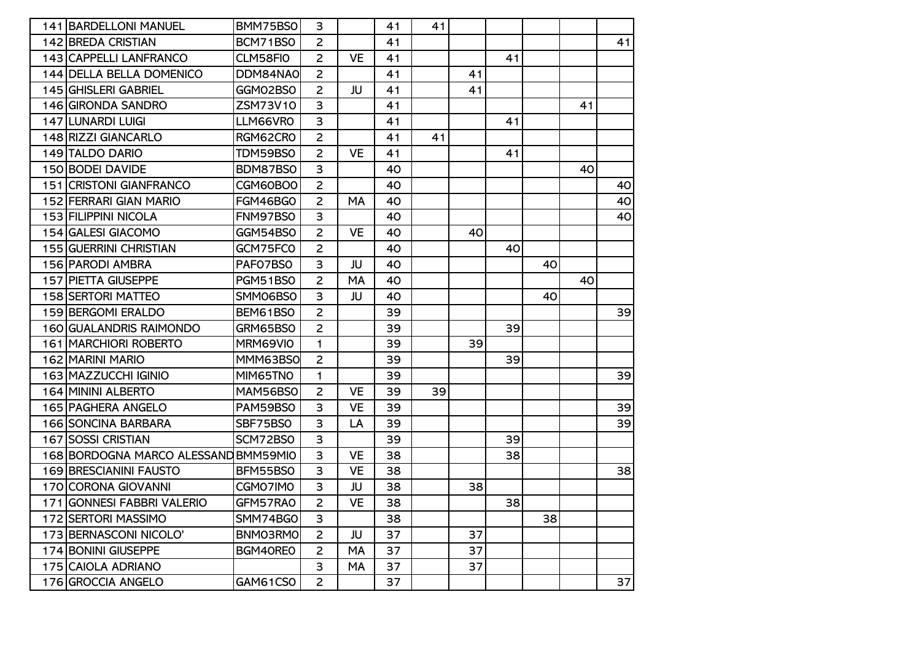| 141 BARDELLONI MANUEL                | BMM75BS0 | 3              |           | 41 | 41 |    |    |    |    |                 |
|--------------------------------------|----------|----------------|-----------|----|----|----|----|----|----|-----------------|
| 142 BREDA CRISTIAN                   | BCM71BS0 | $\overline{2}$ |           | 41 |    |    |    |    |    | 41              |
| 143 CAPPELLI LANFRANCO               | CLM58FIO | $\overline{c}$ | <b>VE</b> | 41 |    |    | 41 |    |    |                 |
| 144 DELLA BELLA DOMENICO             | DDM84NA0 | $\overline{2}$ |           | 41 |    | 41 |    |    |    |                 |
| 145 GHISLERI GABRIEL                 | GGM02BS0 | $\overline{2}$ | JU        | 41 |    | 41 |    |    |    |                 |
| 146 GIRONDA SANDRO                   | ZSM73V10 | 3              |           | 41 |    |    |    |    | 41 |                 |
| 147 LUNARDI LUIGI                    | LLM66VR0 | 3              |           | 41 |    |    | 41 |    |    |                 |
| 148 RIZZI GIANCARLO                  | RGM62CRO | $\overline{2}$ |           | 41 | 41 |    |    |    |    |                 |
| 149 TALDO DARIO                      | TDM59BS0 | $\overline{2}$ | <b>VE</b> | 41 |    |    | 41 |    |    |                 |
| 150 BODEI DAVIDE                     | BDM87BS0 | 3              |           | 40 |    |    |    |    | 40 |                 |
| 151 CRISTONI GIANFRANCO              | CGM60BO0 | $\overline{2}$ |           | 40 |    |    |    |    |    | 40              |
| 152 FERRARI GIAN MARIO               | FGM46BGO | $\overline{c}$ | MA        | 40 |    |    |    |    |    | 40              |
| 153 FILIPPINI NICOLA                 | FNM97BS0 | 3              |           | 40 |    |    |    |    |    | 40              |
| 154 GALESI GIACOMO                   | GGM54BSO | $\overline{2}$ | <b>VE</b> | 40 |    | 40 |    |    |    |                 |
| <b>155 GUERRINI CHRISTIAN</b>        | GCM75FC0 | $\overline{c}$ |           | 40 |    |    | 40 |    |    |                 |
| 156 PARODI AMBRA                     | PAFO7BSO | 3              | JU        | 40 |    |    |    | 40 |    |                 |
| <b>157 PIETTA GIUSEPPE</b>           | PGM51BS0 | $\overline{2}$ | MA        | 40 |    |    |    |    | 40 |                 |
| <b>158 SERTORI MATTEO</b>            | SMM06BS0 | 3              | JU        | 40 |    |    |    | 40 |    |                 |
| <b>159 BERGOMI ERALDO</b>            | BEM61BSO | $\overline{2}$ |           | 39 |    |    |    |    |    | 39              |
| 160 GUALANDRIS RAIMONDO              | GRM65BS0 | $\overline{2}$ |           | 39 |    |    | 39 |    |    |                 |
| <b>161 MARCHIORI ROBERTO</b>         | MRM69VIO | $\mathbf{1}$   |           | 39 |    | 39 |    |    |    |                 |
| 162 MARINI MARIO                     | MMM63BS0 | $\overline{c}$ |           | 39 |    |    | 39 |    |    |                 |
| 163 MAZZUCCHI IGINIO                 | MIM65TNO | 1              |           | 39 |    |    |    |    |    | 39 <sub>l</sub> |
| <b>164 MININI ALBERTO</b>            | MAM56BS0 | $\overline{2}$ | <b>VE</b> | 39 | 39 |    |    |    |    |                 |
| 165 PAGHERA ANGELO                   | PAM59BS0 | 3              | <b>VE</b> | 39 |    |    |    |    |    | 39              |
| 166 SONCINA BARBARA                  | SBF75BS0 | 3              | LA        | 39 |    |    |    |    |    | 39              |
| <b>167 SOSSI CRISTIAN</b>            | SCM72BS0 | 3              |           | 39 |    |    | 39 |    |    |                 |
| 168 BORDOGNA MARCO ALESSAND BMM59MIO |          | 3              | <b>VE</b> | 38 |    |    | 38 |    |    |                 |
| <b>169 BRESCIANINI FAUSTO</b>        | BFM55BS0 | 3              | <b>VE</b> | 38 |    |    |    |    |    | 38              |
| 170 CORONA GIOVANNI                  | CGM07IM0 | 3              | JU        | 38 |    | 38 |    |    |    |                 |
| 171 GONNESI FABBRI VALERIO           | GFM57RAO | 2              | <b>VE</b> | 38 |    |    | 38 |    |    |                 |
| 172 SERTORI MASSIMO                  | SMM74BGO | 3              |           | 38 |    |    |    | 38 |    |                 |
| 173 BERNASCONI NICOLO'               | BNM03RM0 | $\overline{2}$ | JU        | 37 |    | 37 |    |    |    |                 |
| 174 BONINI GIUSEPPE                  | BGM40REO | $\overline{c}$ | MA        | 37 |    | 37 |    |    |    |                 |
| 175 CAIOLA ADRIANO                   |          | 3              | MA        | 37 |    | 37 |    |    |    |                 |
| 176 GROCCIA ANGELO                   | GAM61CSO | $\overline{2}$ |           | 37 |    |    |    |    |    | 37              |